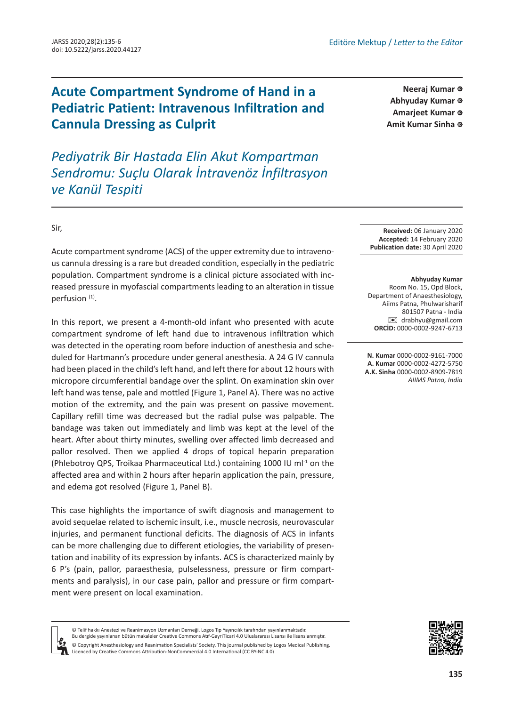

**[ID](https://orcid.org/0000-0002-9161-7000) Neeraj Kumar**

Abhyuday Kumar <sup>®</sup> **Amarjeet Kumar ©** Amit Kumar Sinha ©

## **Acute Compartment Syndrome of Hand in a Pediatric Patient: Intravenous Infiltration and Cannula Dressing as Culprit**

*Pediyatrik Bir Hastada Elin Akut Kompartman Sendromu: Suçlu Olarak İntravenöz İnfiltrasyon ve Kanül Tespiti*

> **Received:** 06 January 2020 **Accepted:** 14 February 2020 **Publication date:** 30 April 2020

**Abhyuday Kumar**  Room No. 15, Opd Block, Department of Anaesthesiology, Aiims Patna, Phulwarisharif 801507 Patna - India [✉](mailto:drabhyu@gmail.com) drabhyu@gmail.com **ORCİD:** 0000-0002-9247-6713

**N. Kumar** 0000-0002-9161-7000 **A. Kumar** 0000-0002-4272-5750 **A.K. Sinha** 0000-0002-8909-7819 *AIIMS Patna, India*

Sir,

Acute compartment syndrome (ACS) of the upper extremity due to intravenous cannula dressing is a rare but dreaded condition, especially in the pediatric population. Compartment syndrome is a clinical picture associated with increased pressure in myofascial compartments leading to an alteration in tissue perfusion (1).

In this report, we present a 4-month-old infant who presented with acute compartment syndrome of left hand due to intravenous infiltration which was detected in the operating room before induction of anesthesia and scheduled for Hartmann's procedure under general anesthesia. A 24 G IV cannula had been placed in the child's left hand, and left there for about 12 hours with micropore circumferential bandage over the splint. On examination skin over left hand was tense, pale and mottled (Figure 1, Panel A). There was no active motion of the extremity, and the pain was present on passive movement. Capillary refill time was decreased but the radial pulse was palpable. The bandage was taken out immediately and limb was kept at the level of the heart. After about thirty minutes, swelling over affected limb decreased and pallor resolved. Then we applied 4 drops of topical heparin preparation (Phlebotroy QPS, Troikaa Pharmaceutical Ltd.) containing 1000 IU ml<sup>-1</sup> on the affected area and within 2 hours after heparin application the pain, pressure, and edema got resolved (Figure 1, Panel B).

This case highlights the importance of swift diagnosis and management to avoid sequelae related to ischemic insult, i.e., muscle necrosis, neurovascular injuries, and permanent functional deficits. The diagnosis of ACS in infants can be more challenging due to different etiologies, the variability of presentation and inability of its expression by infants. ACS is characterized mainly by 6 P's (pain, pallor, paraesthesia, pulselessness, pressure or firm compartments and paralysis), in our case pain, pallor and pressure or firm compartment were present on local examination.



© Telif hakkı Anestezi ve Reanimasyon Uzmanları Derneği. Logos Tıp Yayıncılık tarafından yayınlanmaktadır. Bu dergide yayınlanan bütün makaleler Creative Commons Atıf-GayriTicari 4.0 Uluslararası Lisansı ile lisanslanmıştır. © Copyright Anesthesiology and Reanimation Specialists' Society. This journal published by Logos Medical Publishing. Licenced by Creative Commons Attribution-NonCommercial 4.0 International (CC BY-NC 4.0)